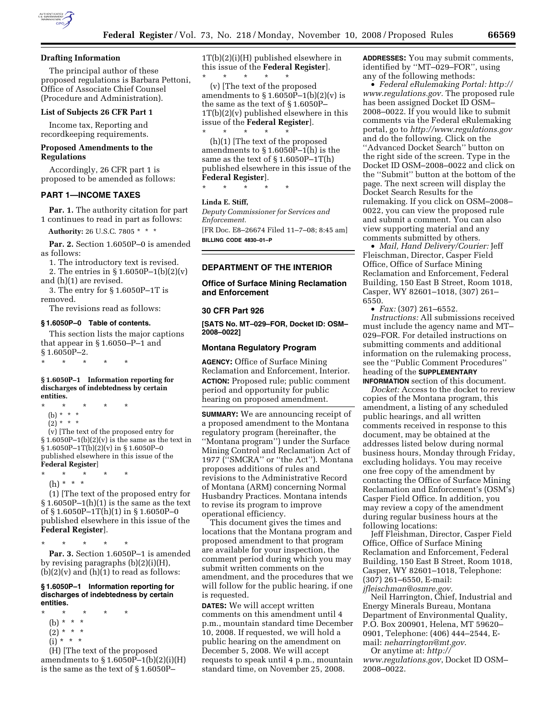

## **Drafting Information**

The principal author of these proposed regulations is Barbara Pettoni, Office of Associate Chief Counsel (Procedure and Administration).

#### **List of Subjects 26 CFR Part 1**

Income tax, Reporting and recordkeeping requirements.

## **Proposed Amendments to the Regulations**

Accordingly, 26 CFR part 1 is proposed to be amended as follows:

## **PART 1—INCOME TAXES**

**Par. 1.** The authority citation for part 1 continues to read in part as follows:

**Authority:** 26 U.S.C. 7805 \* \* \*

Par. 2. Section 1.6050P-0 is amended as follows:

1. The introductory text is revised.

2. The entries in § 1.6050P–1(b)(2)(v) and (h)(1) are revised.

3. The entry for § 1.6050P–1T is removed.

The revisions read as follows:

#### **§ 1.6050P–0 Table of contents.**

This section lists the major captions that appear in § 1.6050–P–1 and § 1.6050P–2.

\* \* \* \* \*

#### **§ 1.6050P–1 Information reporting for discharges of indebtedness by certain entities.**

\* \* \* \* \* (b) \* \* \*  $(2) * * * *$ 

(v) [The text of the proposed entry for

 $§ 1.6050P-1(b)(2)(v)$  is the same as the text in § 1.6050P–1T(b)(2)(v) in § 1.6050P–0 published elsewhere in this issue of the **Federal Register**]

- \* \* \* \* \*
	- (h) \* \* \*

(1) [The text of the proposed entry for  $§ 1.6050P-1(h)(1)$  is the same as the text of § 1.6050P–1T(h)(1) in § 1.6050P–0 published elsewhere in this issue of the **Federal Register**].

\* \* \* \* \* Par. 3. Section 1.6050P-1 is amended by revising paragraphs (b)(2)(i)(H),  $(b)(2)(v)$  and  $(h)(1)$  to read as follows:

#### **§ 1.6050P–1 Information reporting for discharges of indebtedness by certain entities.**

- \* \* \* \* \*
	- (b) \* \* \*
- $(2) * * * *$
- $(i) * * * *$

(H) [The text of the proposed amendments to  $\S 1.6050P-1(b)(2)(i)(H)$ is the same as the text of § 1.6050P–

1T(b)(2)(i)(H) published elsewhere in this issue of the **Federal Register**].

\* \* \* \* \* (v) [The text of the proposed amendments to  $\S 1.6050P-1(b)(2)(v)$  is the same as the text of § 1.6050P– 1T(b)(2)(v) published elsewhere in this issue of the **Federal Register**].

\* \* \* \* \* (h)(1) [The text of the proposed amendments to § 1.6050P–1(h) is the same as the text of  $\S 1.6050P - 1T(h)$ published elsewhere in this issue of the **Federal Register**].

\* \* \* \* \*

### **Linda E. Stiff,**

*Deputy Commissioner for Services and Enforcement.* 

[FR Doc. E8–26674 Filed 11–7–08; 8:45 am] **BILLING CODE 4830–01–P** 

# **DEPARTMENT OF THE INTERIOR**

**Office of Surface Mining Reclamation and Enforcement** 

#### **30 CFR Part 926**

**[SATS No. MT–029–FOR, Docket ID: OSM– 2008–0022]** 

### **Montana Regulatory Program**

**AGENCY:** Office of Surface Mining Reclamation and Enforcement, Interior. **ACTION:** Proposed rule; public comment period and opportunity for public hearing on proposed amendment.

**SUMMARY:** We are announcing receipt of a proposed amendment to the Montana regulatory program (hereinafter, the ''Montana program'') under the Surface Mining Control and Reclamation Act of 1977 (''SMCRA'' or ''the Act''). Montana proposes additions of rules and revisions to the Administrative Record of Montana (ARM) concerning Normal Husbandry Practices. Montana intends to revise its program to improve operational efficiency.

This document gives the times and locations that the Montana program and proposed amendment to that program are available for your inspection, the comment period during which you may submit written comments on the amendment, and the procedures that we will follow for the public hearing, if one is requested.

**DATES:** We will accept written comments on this amendment until 4 p.m., mountain standard time December 10, 2008. If requested, we will hold a public hearing on the amendment on December 5, 2008. We will accept requests to speak until 4 p.m., mountain standard time, on November 25, 2008.

**ADDRESSES:** You may submit comments, identified by ''MT–029–FOR'', using any of the following methods:

• *Federal eRulemaking Portal: http:// www.regulations.gov.* The proposed rule has been assigned Docket ID OSM– 2008–0022. If you would like to submit comments via the Federal eRulemaking portal, go to *http://www.regulations.gov*  and do the following. Click on the ''Advanced Docket Search'' button on the right side of the screen. Type in the Docket ID OSM–2008–0022 and click on the ''Submit'' button at the bottom of the page. The next screen will display the Docket Search Results for the rulemaking. If you click on OSM–2008– 0022, you can view the proposed rule and submit a comment. You can also view supporting material and any comments submitted by others.

• *Mail, Hand Delivery/Courier:* Jeff Fleischman, Director, Casper Field Office, Office of Surface Mining Reclamation and Enforcement, Federal Building, 150 East B Street, Room 1018, Casper, WY 82601–1018, (307) 261– 6550.

• *Fax:* (307) 261–6552.

*Instructions:* All submissions received must include the agency name and MT– 029–FOR. For detailed instructions on submitting comments and additional information on the rulemaking process, see the ''Public Comment Procedures'' heading of the **SUPPLEMENTARY INFORMATION** section of this document.

*Docket:* Access to the docket to review copies of the Montana program, this amendment, a listing of any scheduled public hearings, and all written comments received in response to this document, may be obtained at the addresses listed below during normal business hours, Monday through Friday, excluding holidays. You may receive one free copy of the amendment by contacting the Office of Surface Mining Reclamation and Enforcement's (OSM's) Casper Field Office. In addition, you may review a copy of the amendment during regular business hours at the following locations:

Jeff Fleishman, Director, Casper Field Office, Office of Surface Mining Reclamation and Enforcement, Federal Building, 150 East B Street, Room 1018, Casper, WY 82601–1018, Telephone: (307) 261–6550, E-mail: *jfleischman@osmre.gov*.

Neil Harrington, Chief, Industrial and Energy Minerals Bureau, Montana Department of Environmental Quality, P.O. Box 200901, Helena, MT 59620– 0901, Telephone: (406) 444–2544, Email: *neharrington@mt.gov*.

Or anytime at: *http:// www.regulations.gov*, Docket ID OSM– 2008–0022.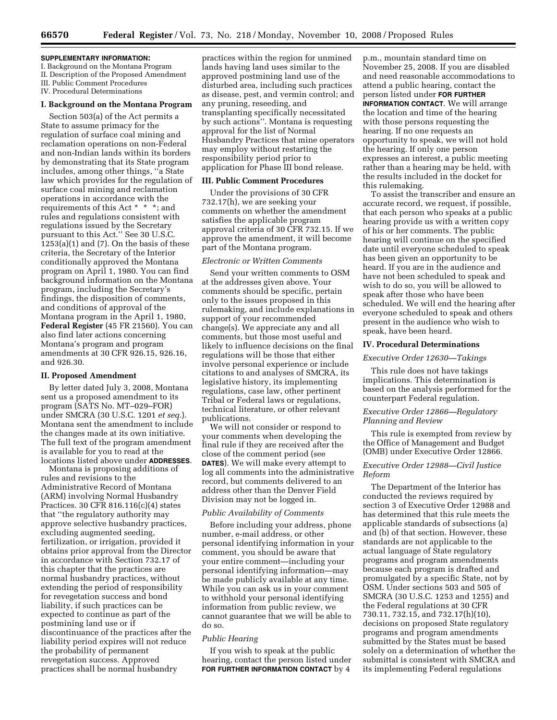# **SUPPLEMENTARY INFORMATION:**

I. Background on the Montana Program II. Description of the Proposed Amendment III. Public Comment Procedures IV. Procedural Determinations

#### **I. Background on the Montana Program**

Section 503(a) of the Act permits a State to assume primacy for the regulation of surface coal mining and reclamation operations on non-Federal and non-Indian lands within its borders by demonstrating that its State program includes, among other things, ''a State law which provides for the regulation of surface coal mining and reclamation operations in accordance with the requirements of this Act \* \* \*; and rules and regulations consistent with regulations issued by the Secretary pursuant to this Act.'' See 30 U.S.C.  $1253(a)(1)$  and  $(7)$ . On the basis of these criteria, the Secretary of the Interior conditionally approved the Montana program on April 1, 1980. You can find background information on the Montana program, including the Secretary's findings, the disposition of comments, and conditions of approval of the Montana program in the April 1, 1980, **Federal Register** (45 FR 21560). You can also find later actions concerning Montana's program and program amendments at 30 CFR 926.15, 926.16, and 926.30.

#### **II. Proposed Amendment**

By letter dated July 3, 2008, Montana sent us a proposed amendment to its program (SATS No. MT–029–FOR) under SMCRA (30 U.S.C. 1201 *et seq.*). Montana sent the amendment to include the changes made at its own initiative. The full text of the program amendment is available for you to read at the locations listed above under **ADDRESSES**.

Montana is proposing additions of rules and revisions to the Administrative Record of Montana (ARM) involving Normal Husbandry Practices. 30 CFR 816.116(c)(4) states that ''the regulatory authority may approve selective husbandry practices, excluding augmented seeding, fertilization, or irrigation, provided it obtains prior approval from the Director in accordance with Section 732.17 of this chapter that the practices are normal husbandry practices, without extending the period of responsibility for revegetation success and bond liability, if such practices can be expected to continue as part of the postmining land use or if discontinuance of the practices after the liability period expires will not reduce the probability of permanent revegetation success. Approved practices shall be normal husbandry

practices within the region for unmined lands having land uses similar to the approved postmining land use of the disturbed area, including such practices as disease, pest, and vermin control; and any pruning, reseeding, and transplanting specifically necessitated by such actions''. Montana is requesting approval for the list of Normal Husbandry Practices that mine operators may employ without restarting the responsibility period prior to application for Phase III bond release.

### **III. Public Comment Procedures**

Under the provisions of 30 CFR 732.17(h), we are seeking your comments on whether the amendment satisfies the applicable program approval criteria of 30 CFR 732.15. If we approve the amendment, it will become part of the Montana program.

## *Electronic or Written Comments*

Send your written comments to OSM at the addresses given above. Your comments should be specific, pertain only to the issues proposed in this rulemaking, and include explanations in support of your recommended change(s). We appreciate any and all comments, but those most useful and likely to influence decisions on the final regulations will be those that either involve personal experience or include citations to and analyses of SMCRA, its legislative history, its implementing regulations, case law, other pertinent Tribal or Federal laws or regulations, technical literature, or other relevant publications.

We will not consider or respond to your comments when developing the final rule if they are received after the close of the comment period (see **DATES**). We will make every attempt to log all comments into the administrative record, but comments delivered to an address other than the Denver Field Division may not be logged in.

# *Public Availability of Comments*

Before including your address, phone number, e-mail address, or other personal identifying information in your comment, you should be aware that your entire comment—including your personal identifying information—may be made publicly available at any time. While you can ask us in your comment to withhold your personal identifying information from public review, we cannot guarantee that we will be able to do so.

### *Public Hearing*

If you wish to speak at the public hearing, contact the person listed under **FOR FURTHER INFORMATION CONTACT** by 4

p.m., mountain standard time on November 25, 2008. If you are disabled and need reasonable accommodations to attend a public hearing, contact the person listed under **FOR FURTHER INFORMATION CONTACT**. We will arrange the location and time of the hearing with those persons requesting the hearing. If no one requests an opportunity to speak, we will not hold the hearing. If only one person expresses an interest, a public meeting rather than a hearing may be held, with the results included in the docket for this rulemaking.

To assist the transcriber and ensure an accurate record, we request, if possible, that each person who speaks at a public hearing provide us with a written copy of his or her comments. The public hearing will continue on the specified date until everyone scheduled to speak has been given an opportunity to be heard. If you are in the audience and have not been scheduled to speak and wish to do so, you will be allowed to speak after those who have been scheduled. We will end the hearing after everyone scheduled to speak and others present in the audience who wish to speak, have been heard.

## **IV. Procedural Determinations**

## *Executive Order 12630—Takings*

This rule does not have takings implications. This determination is based on the analysis performed for the counterpart Federal regulation.

# *Executive Order 12866—Regulatory Planning and Review*

This rule is exempted from review by the Office of Management and Budget (OMB) under Executive Order 12866.

## *Executive Order 12988—Civil Justice Reform*

The Department of the Interior has conducted the reviews required by section 3 of Executive Order 12988 and has determined that this rule meets the applicable standards of subsections (a) and (b) of that section. However, these standards are not applicable to the actual language of State regulatory programs and program amendments because each program is drafted and promulgated by a specific State, not by OSM. Under sections 503 and 505 of SMCRA (30 U.S.C. 1253 and 1255) and the Federal regulations at 30 CFR 730.11, 732.15, and 732.17(h)(10), decisions on proposed State regulatory programs and program amendments submitted by the States must be based solely on a determination of whether the submittal is consistent with SMCRA and its implementing Federal regulations